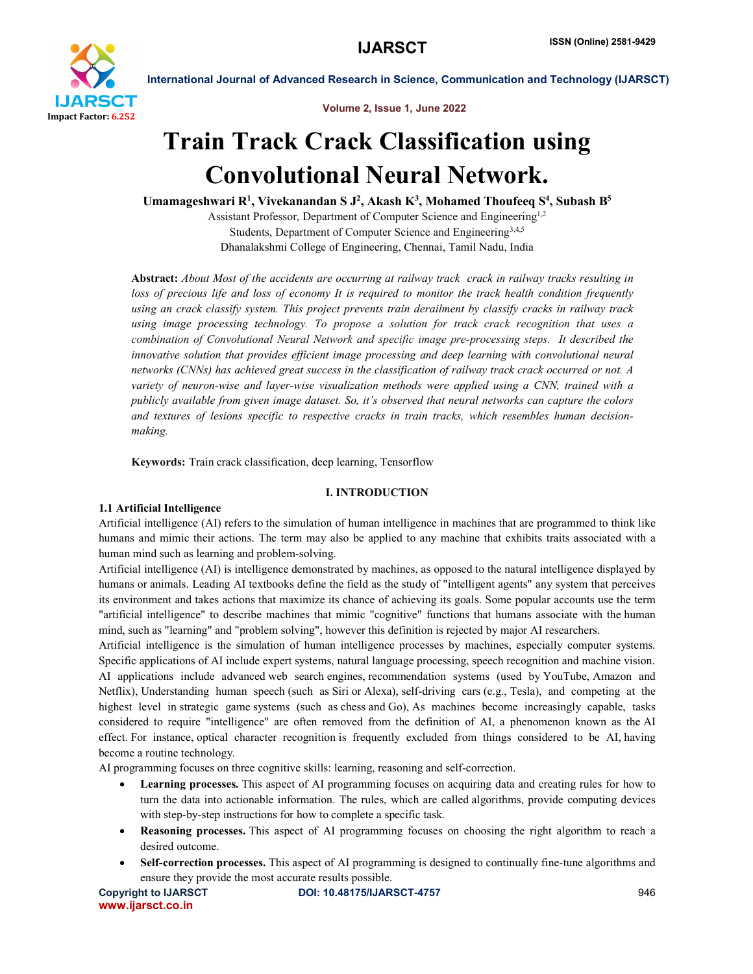

Volume 2, Issue 1, June 2022

# Train Track Crack Classification using Convolutional Neural Network.

Umamageshwari R<sup>1</sup>, Vivekanandan S J<sup>2</sup>, Akash K<sup>3</sup>, Mohamed Thoufeeq S<sup>4</sup>, Subash B<sup>5</sup>

Assistant Professor, Department of Computer Science and Engineering1,2 Students, Department of Computer Science and Engineering<sup>3,4,5</sup> Dhanalakshmi College of Engineering, Chennai, Tamil Nadu, India

Abstract: *About Most of the accidents are occurring at railway track crack in railway tracks resulting in loss of precious life and loss of economy It is required to monitor the track health condition frequently using an crack classify system. This project prevents train derailment by classify cracks in railway track using image processing technology. To propose a solution for track crack recognition that uses a combination of Convolutional Neural Network and specific image pre-processing steps. It described the innovative solution that provides efficient image processing and deep learning with convolutional neural networks (CNNs) has achieved great success in the classification of railway track crack occurred or not. A variety of neuron-wise and layer-wise visualization methods were applied using a CNN, trained with a publicly available from given image dataset. So, it's observed that neural networks can capture the colors and textures of lesions specific to respective cracks in train tracks, which resembles human decisionmaking.*

Keywords: Train crack classification, deep learning, Tensorflow

# I. INTRODUCTION

# 1.1 Artificial Intelligence

Artificial intelligence (AI) refers to the simulation of human intelligence in machines that are programmed to think like humans and mimic their actions. The term may also be applied to any machine that exhibits traits associated with a human mind such as learning and problem-solving.

Artificial intelligence (AI) is intelligence demonstrated by machines, as opposed to the natural intelligence displayed by humans or animals. Leading AI textbooks define the field as the study of "intelligent agents" any system that perceives its environment and takes actions that maximize its chance of achieving its goals. Some popular accounts use the term "artificial intelligence" to describe machines that mimic "cognitive" functions that humans associate with the human mind, such as "learning" and "problem solving", however this definition is rejected by major AI researchers.

Artificial intelligence is the simulation of human intelligence processes by machines, especially computer systems. Specific applications of AI include expert systems, natural language processing, speech recognition and machine vision. AI applications include advanced web search engines, recommendation systems (used by YouTube, Amazon and Netflix), Understanding human speech (such as Siri or Alexa), self-driving cars (e.g., Tesla), and competing at the highest level in strategic game systems (such as chess and Go), As machines become increasingly capable, tasks considered to require "intelligence" are often removed from the definition of AI, a phenomenon known as the AI effect. For instance, optical character recognition is frequently excluded from things considered to be AI, having become a routine technology.

AI programming focuses on three cognitive skills: learning, reasoning and self-correction.

- Learning processes. This aspect of AI programming focuses on acquiring data and creating rules for how to turn the data into actionable information. The rules, which are called algorithms, provide computing devices with step-by-step instructions for how to complete a specific task.
- Reasoning processes. This aspect of AI programming focuses on choosing the right algorithm to reach a desired outcome.
- Self-correction processes. This aspect of AI programming is designed to continually fine-tune algorithms and ensure they provide the most accurate results possible.

www.ijarsct.co.in

Copyright to IJARSCT **DOI: 10.48175/IJARSCT-4757** 946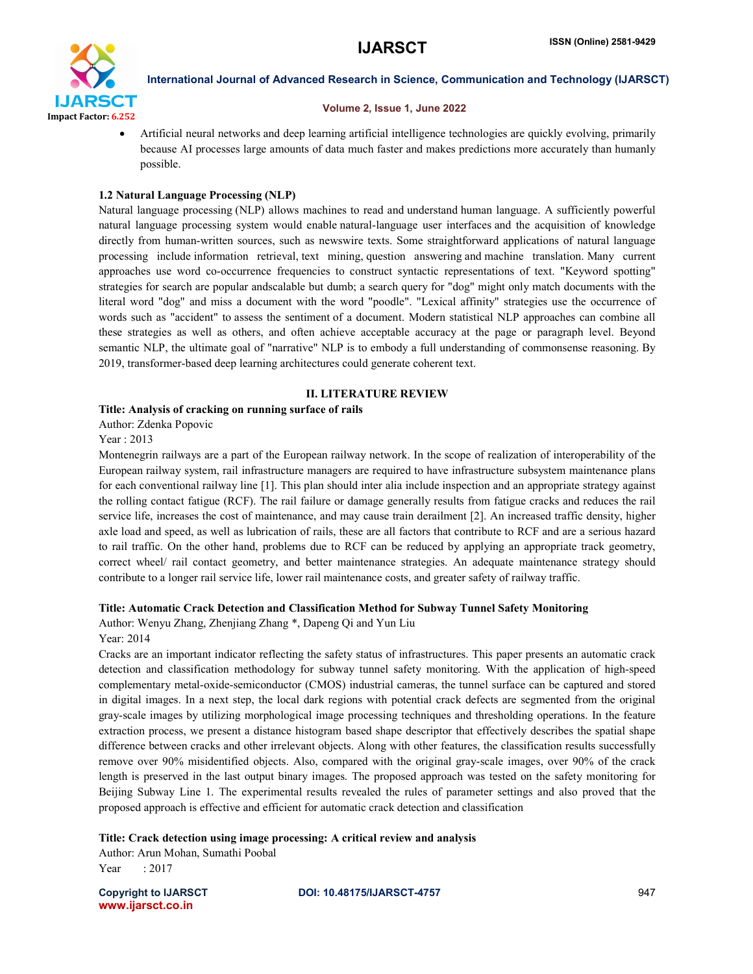

#### Volume 2, Issue 1, June 2022

 Artificial neural networks and deep learning artificial intelligence technologies are quickly evolving, primarily because AI processes large amounts of data much faster and makes predictions more accurately than humanly possible.

# 1.2 Natural Language Processing (NLP)

Natural language processing (NLP) allows machines to read and understand human language. A sufficiently powerful natural language processing system would enable natural-language user interfaces and the acquisition of knowledge directly from human-written sources, such as newswire texts. Some straightforward applications of natural language processing include information retrieval, text mining, question answering and machine translation. Many current approaches use word co-occurrence frequencies to construct syntactic representations of text. "Keyword spotting" strategies for search are popular andscalable but dumb; a search query for "dog" might only match documents with the literal word "dog" and miss a document with the word "poodle". "Lexical affinity" strategies use the occurrence of words such as "accident" to assess the sentiment of a document. Modern statistical NLP approaches can combine all these strategies as well as others, and often achieve acceptable accuracy at the page or paragraph level. Beyond semantic NLP, the ultimate goal of "narrative" NLP is to embody a full understanding of commonsense reasoning. By 2019, transformer-based deep learning architectures could generate coherent text.

# II. LITERATURE REVIEW

## Title: Analysis of cracking on running surface of rails

Author: Zdenka Popovic

Year : 2013

Montenegrin railways are a part of the European railway network. In the scope of realization of interoperability of the European railway system, rail infrastructure managers are required to have infrastructure subsystem maintenance plans for each conventional railway line [1]. This plan should inter alia include inspection and an appropriate strategy against the rolling contact fatigue (RCF). The rail failure or damage generally results from fatigue cracks and reduces the rail service life, increases the cost of maintenance, and may cause train derailment [2]. An increased traffic density, higher axle load and speed, as well as lubrication of rails, these are all factors that contribute to RCF and are a serious hazard to rail traffic. On the other hand, problems due to RCF can be reduced by applying an appropriate track geometry, correct wheel/ rail contact geometry, and better maintenance strategies. An adequate maintenance strategy should contribute to a longer rail service life, lower rail maintenance costs, and greater safety of railway traffic.

## Title: Automatic Crack Detection and Classification Method for Subway Tunnel Safety Monitoring

Author: Wenyu Zhang, Zhenjiang Zhang \*, Dapeng Qi and Yun Liu Year: 2014

Cracks are an important indicator reflecting the safety status of infrastructures. This paper presents an automatic crack detection and classification methodology for subway tunnel safety monitoring. With the application of high-speed complementary metal-oxide-semiconductor (CMOS) industrial cameras, the tunnel surface can be captured and stored in digital images. In a next step, the local dark regions with potential crack defects are segmented from the original gray-scale images by utilizing morphological image processing techniques and thresholding operations. In the feature extraction process, we present a distance histogram based shape descriptor that effectively describes the spatial shape difference between cracks and other irrelevant objects. Along with other features, the classification results successfully remove over 90% misidentified objects. Also, compared with the original gray-scale images, over 90% of the crack length is preserved in the last output binary images. The proposed approach was tested on the safety monitoring for Beijing Subway Line 1. The experimental results revealed the rules of parameter settings and also proved that the proposed approach is effective and efficient for automatic crack detection and classification

Title: Crack detection using image processing: A critical review and analysis

Author: Arun Mohan, Sumathi Poobal Year : 2017

www.ijarsct.co.in

Copyright to IJARSCT **DOI: 10.48175/IJARSCT-4757** 947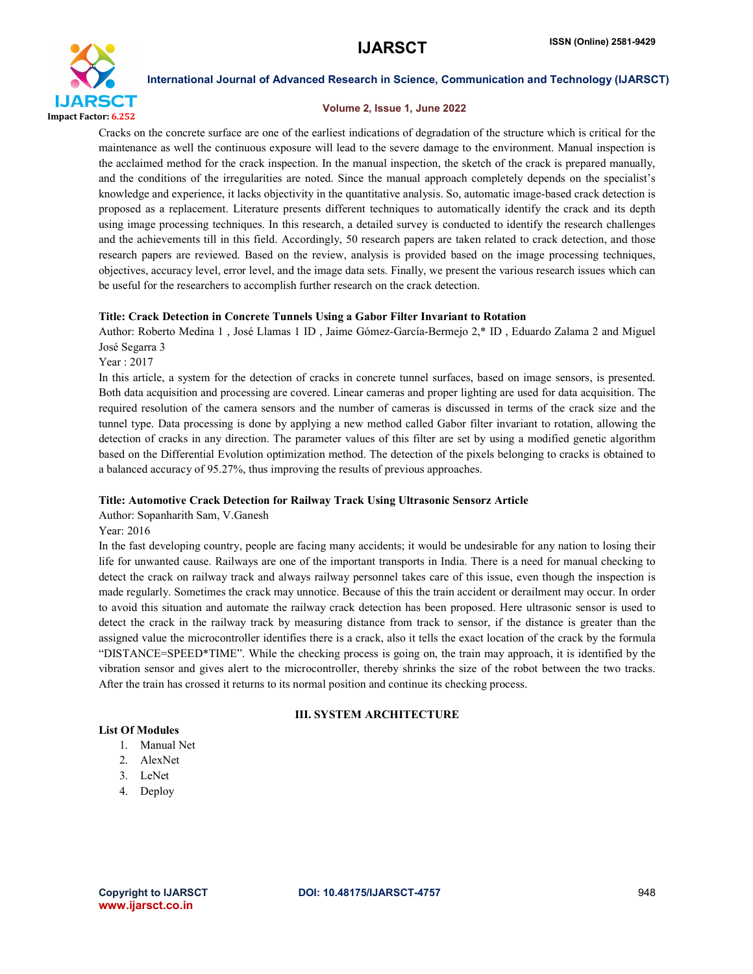

#### Volume 2, Issue 1, June 2022

Cracks on the concrete surface are one of the earliest indications of degradation of the structure which is critical for the maintenance as well the continuous exposure will lead to the severe damage to the environment. Manual inspection is the acclaimed method for the crack inspection. In the manual inspection, the sketch of the crack is prepared manually, and the conditions of the irregularities are noted. Since the manual approach completely depends on the specialist's knowledge and experience, it lacks objectivity in the quantitative analysis. So, automatic image-based crack detection is proposed as a replacement. Literature presents different techniques to automatically identify the crack and its depth using image processing techniques. In this research, a detailed survey is conducted to identify the research challenges and the achievements till in this field. Accordingly, 50 research papers are taken related to crack detection, and those research papers are reviewed. Based on the review, analysis is provided based on the image processing techniques, objectives, accuracy level, error level, and the image data sets. Finally, we present the various research issues which can be useful for the researchers to accomplish further research on the crack detection.

## Title: Crack Detection in Concrete Tunnels Using a Gabor Filter Invariant to Rotation

Author: Roberto Medina 1 , José Llamas 1 ID , Jaime Gómez-García-Bermejo 2,\* ID , Eduardo Zalama 2 and Miguel José Segarra 3

Year : 2017

In this article, a system for the detection of cracks in concrete tunnel surfaces, based on image sensors, is presented. Both data acquisition and processing are covered. Linear cameras and proper lighting are used for data acquisition. The required resolution of the camera sensors and the number of cameras is discussed in terms of the crack size and the tunnel type. Data processing is done by applying a new method called Gabor filter invariant to rotation, allowing the detection of cracks in any direction. The parameter values of this filter are set by using a modified genetic algorithm based on the Differential Evolution optimization method. The detection of the pixels belonging to cracks is obtained to a balanced accuracy of 95.27%, thus improving the results of previous approaches.

## Title: Automotive Crack Detection for Railway Track Using Ultrasonic Sensorz Article

Author: Sopanharith Sam, V.Ganesh

Year: 2016

In the fast developing country, people are facing many accidents; it would be undesirable for any nation to losing their life for unwanted cause. Railways are one of the important transports in India. There is a need for manual checking to detect the crack on railway track and always railway personnel takes care of this issue, even though the inspection is made regularly. Sometimes the crack may unnotice. Because of this the train accident or derailment may occur. In order to avoid this situation and automate the railway crack detection has been proposed. Here ultrasonic sensor is used to detect the crack in the railway track by measuring distance from track to sensor, if the distance is greater than the assigned value the microcontroller identifies there is a crack, also it tells the exact location of the crack by the formula "DISTANCE=SPEED\*TIME". While the checking process is going on, the train may approach, it is identified by the vibration sensor and gives alert to the microcontroller, thereby shrinks the size of the robot between the two tracks. After the train has crossed it returns to its normal position and continue its checking process.

# III. SYSTEM ARCHITECTURE

# List Of Modules

- 1. Manual Net
- 2. AlexNet
- 3. LeNet
- 4. Deploy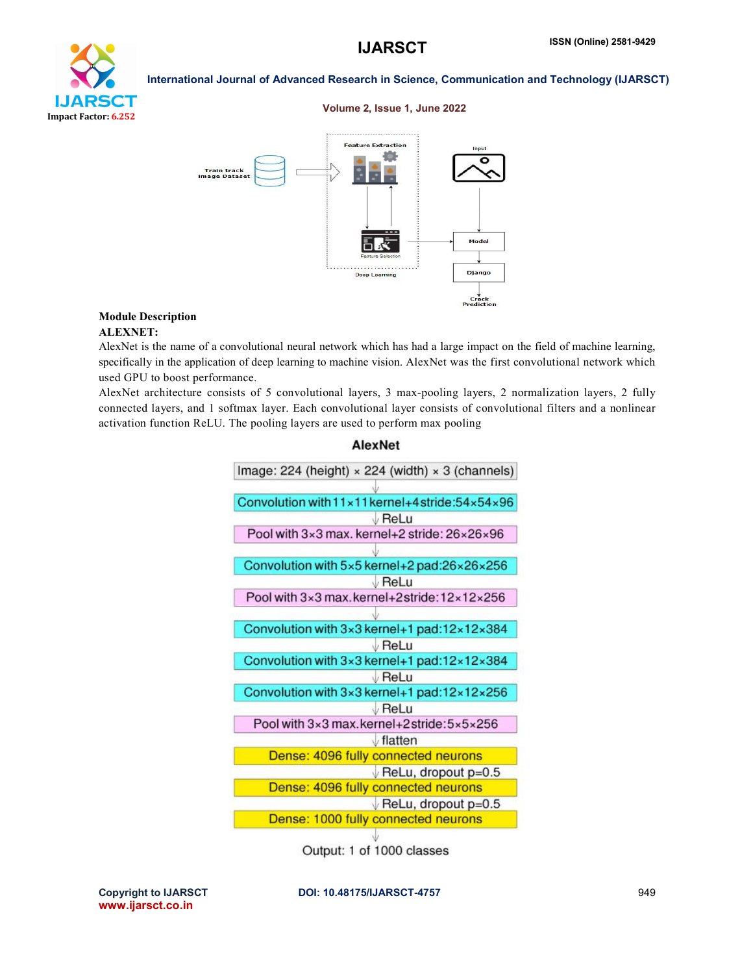

#### Volume 2, Issue 1, June 2022



## Module Description ALEXNET:

AlexNet is the name of a convolutional neural network which has had a large impact on the field of machine learning, specifically in the application of deep learning to machine vision. AlexNet was the first convolutional network which used GPU to boost performance.

AlexNet architecture consists of 5 convolutional layers, 3 max-pooling layers, 2 normalization layers, 2 fully connected layers, and 1 softmax layer. Each convolutional layer consists of convolutional filters and a nonlinear activation function ReLU. The pooling layers are used to perform max pooling

| Image: 224 (height) $\times$ 224 (width) $\times$ 3 (channels) |
|----------------------------------------------------------------|
|                                                                |
| Convolution with 11x11 kernel+4 stride: 54x54x96               |
| $\vee$ ReLu                                                    |
| Pool with 3×3 max. kernel+2 stride: 26×26×96                   |
|                                                                |
| Convolution with 5x5 kernel+2 pad:26x26x256                    |
| ↓ReLu                                                          |
| Pool with 3×3 max.kernel+2stride:12×12×256                     |
|                                                                |
| Convolution with 3×3 kernel+1 pad:12×12×384                    |
| $\vee$ ReLu                                                    |
| Convolution with 3x3 kernel+1 pad:12x12x384                    |
| $\vee$ ReLu                                                    |
| Convolution with 3x3 kernel+1 pad:12x12x256                    |
| $\vee$ ReLu                                                    |
| Pool with 3×3 max.kernel+2stride:5×5×256                       |
| $\sqrt{}$ flatten                                              |
| Dense: 4096 fully connected neurons                            |
| $\sqrt{\mathsf{ReLU}}$ , dropout p=0.5                         |
| Dense: 4096 fully connected neurons                            |
| $\sqrt{\mathsf{ReLU}}$ , dropout p=0.5                         |
| Dense: 1000 fully connected neurons                            |
|                                                                |
| Output: 1 of 1000 classes                                      |

**AlexNet** 

www.ijarsct.co.in

Copyright to IJARSCT **DOI: 10.48175/IJARSCT-4757** 949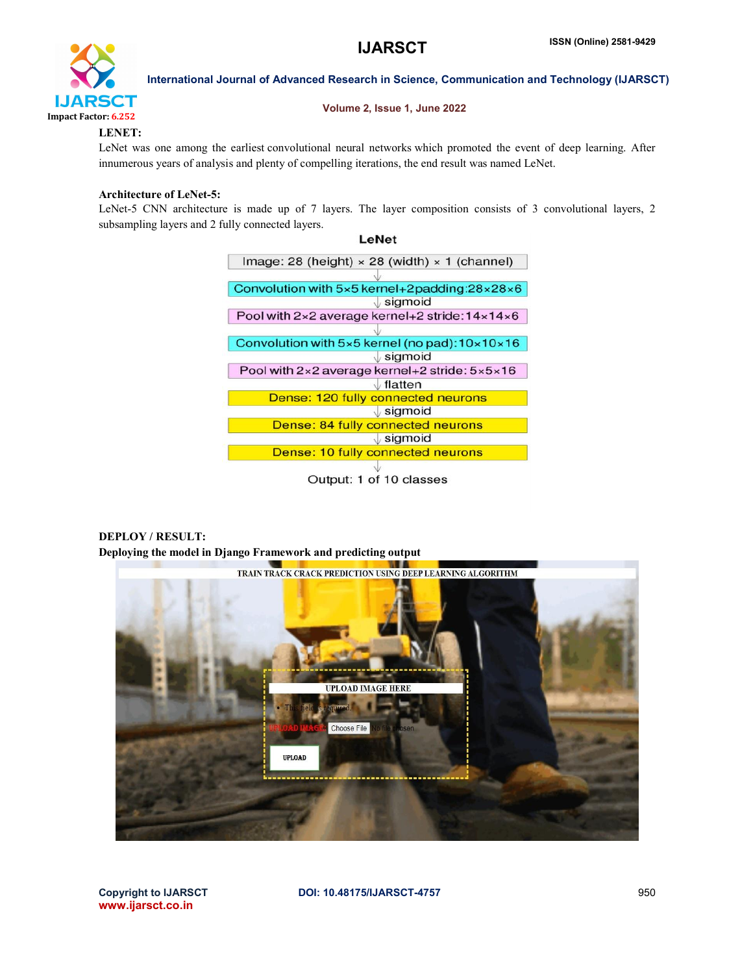

#### Volume 2, Issue 1, June 2022

# LENET:

LeNet was one among the earliest convolutional neural networks which promoted the event of deep learning. After innumerous years of analysis and plenty of compelling iterations, the end result was named LeNet.

# Architecture of LeNet-5:

LeNet-5 CNN architecture is made up of 7 layers. The layer composition consists of 3 convolutional layers, 2 subsampling layers and 2 fully connected layers.

> LeNet Image: 28 (height)  $\times$  28 (width)  $\times$  1 (channel) Convolution with 5x5 kernel+2padding:28x28x6  $\sqrt{\text{sigmoid}}$ Pool with 2×2 average kernel+2 stride: 14×14×6 Convolution with 5×5 kernel (no pad): 10×10×16  $\sqrt{\mathsf{sigmoid}}$ Pool with 2×2 average kernel+2 stride: 5×5×16  $\sqrt{\mathsf{flatten}}$ Dense: 120 fully connected neurons  $\sqrt{\mathsf{sigmoid}}$ Dense: 84 fully connected neurons  $\sqrt{\text{sigmoid}}$ Dense: 10 fully connected neurons Output: 1 of 10 classes

# DEPLOY / RESULT: Deploying the model in Django Framework and predicting output